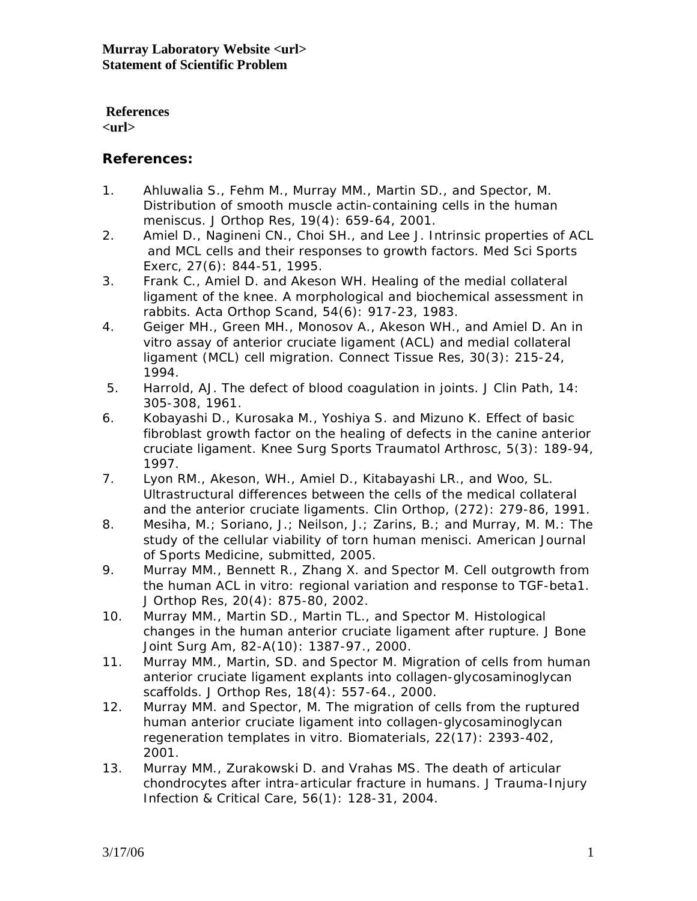**References** 

**<url>** 

## **References:**

- 1. Ahluwalia S., Fehm M., Murray MM., Martin SD., and Spector, M. Distribution of smooth muscle actin-containing cells in the human meniscus. J Orthop Res, 19(4): 659-64, 2001.
- 2. Amiel D., Nagineni CN., Choi SH., and Lee J. Intrinsic properties of ACL and MCL cells and their responses to growth factors. Med Sci Sports Exerc, 27(6): 844-51, 1995.
- 3. Frank C., Amiel D. and Akeson WH. Healing of the medial collateral ligament of the knee. A morphological and biochemical assessment in rabbits. Acta Orthop Scand, 54(6): 917-23, 1983.
- 4. Geiger MH., Green MH., Monosov A., Akeson WH., and Amiel D. An in vitro assay of anterior cruciate ligament (ACL) and medial collateral ligament (MCL) cell migration. Connect Tissue Res, 30(3): 215-24, 1994.
- 5. Harrold, AJ. The defect of blood coagulation in joints. J Clin Path, 14: 305-308, 1961.
- 6. Kobayashi D., Kurosaka M., Yoshiya S. and Mizuno K. Effect of basic fibroblast growth factor on the healing of defects in the canine anterior cruciate ligament. Knee Surg Sports Traumatol Arthrosc, 5(3): 189-94, 1997.
- 7. Lyon RM., Akeson, WH., Amiel D., Kitabayashi LR., and Woo, SL. Ultrastructural differences between the cells of the medical collateral and the anterior cruciate ligaments. Clin Orthop, (272): 279-86, 1991.
- 8. Mesiha, M.; Soriano, J.; Neilson, J.; Zarins, B.; and Murray, M. M.: The study of the cellular viability of torn human menisci. American Journal of Sports Medicine, submitted, 2005.
- 9. Murray MM., Bennett R., Zhang X. and Spector M. Cell outgrowth from the human ACL in vitro: regional variation and response to TGF-beta1. J Orthop Res, 20(4): 875-80, 2002.
- 10. Murray MM., Martin SD., Martin TL., and Spector M. Histological changes in the human anterior cruciate ligament after rupture. J Bone Joint Surg Am, 82-A(10): 1387-97., 2000.
- 11. Murray MM., Martin, SD. and Spector M. Migration of cells from human anterior cruciate ligament explants into collagen-glycosaminoglycan scaffolds. J Orthop Res, 18(4): 557-64., 2000.
- 12. Murray MM. and Spector, M. The migration of cells from the ruptured human anterior cruciate ligament into collagen-glycosaminoglycan regeneration templates in vitro. Biomaterials, 22(17): 2393-402, 2001.
- 13. Murray MM., Zurakowski D. and Vrahas MS. The death of articular chondrocytes after intra-articular fracture in humans. J Trauma-Injury Infection & Critical Care, 56(1): 128-31, 2004.